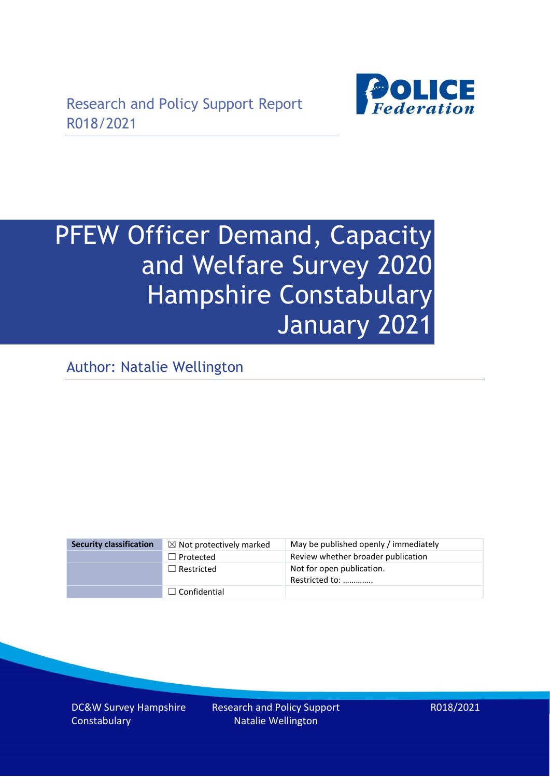

# PFEW Officer Demand, Capacity and Welfare Survey 2020 Hampshire Constabulary January 2021

Author: Natalie Wellington

| <b>Security classification</b> | $\boxtimes$ Not protectively marked | May be published openly / immediately       |
|--------------------------------|-------------------------------------|---------------------------------------------|
|                                | $\Box$ Protected                    | Review whether broader publication          |
|                                | $\Box$ Restricted                   | Not for open publication.<br>Restricted to: |
|                                | $\Box$ Confidential                 |                                             |

DC&W Survey Hampshire **Constabulary**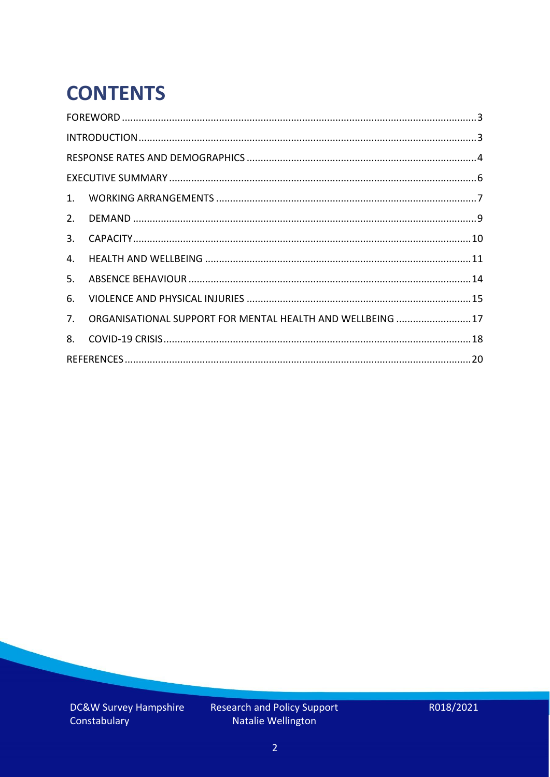# **CONTENTS**

| 3.          |                                                           |  |
|-------------|-----------------------------------------------------------|--|
| 4.          |                                                           |  |
| 5.          |                                                           |  |
| 6.          |                                                           |  |
| $7_{\cdot}$ | ORGANISATIONAL SUPPORT FOR MENTAL HEALTH AND WELLBEING 17 |  |
| 8.          |                                                           |  |
|             |                                                           |  |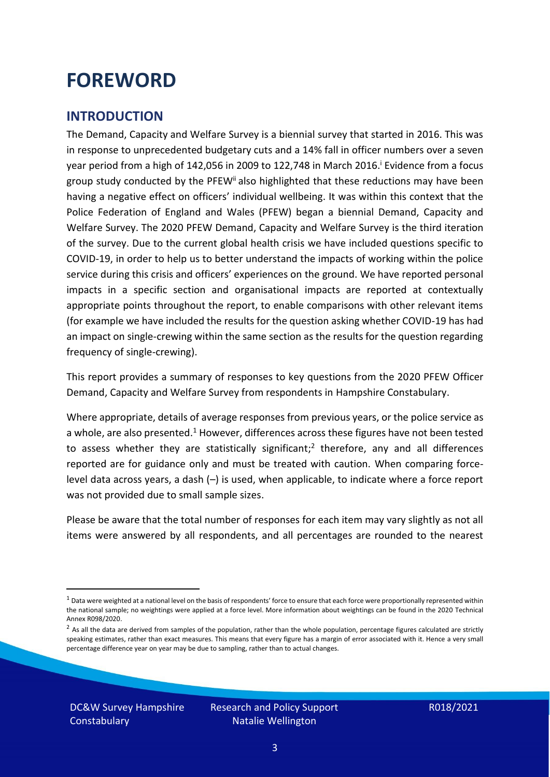### <span id="page-2-0"></span>**FOREWORD**

### <span id="page-2-1"></span>**INTRODUCTION**

The Demand, Capacity and Welfare Survey is a biennial survey that started in 2016. This was in response to unprecedented budgetary cuts and a 14% fall in officer numbers over a seven year period from a high of 142,056 in 2009 to 122,748 in March 2016. <sup>i</sup> Evidence from a focus group study conducted by the PFEW<sup>ii</sup> also highlighted that these reductions may have been having a negative effect on officers' individual wellbeing. It was within this context that the Police Federation of England and Wales (PFEW) began a biennial Demand, Capacity and Welfare Survey. The 2020 PFEW Demand, Capacity and Welfare Survey is the third iteration of the survey. Due to the current global health crisis we have included questions specific to COVID-19, in order to help us to better understand the impacts of working within the police service during this crisis and officers' experiences on the ground. We have reported personal impacts in a specific section and organisational impacts are reported at contextually appropriate points throughout the report, to enable comparisons with other relevant items (for example we have included the results for the question asking whether COVID-19 has had an impact on single-crewing within the same section as the results for the question regarding frequency of single-crewing).

This report provides a summary of responses to key questions from the 2020 PFEW Officer Demand, Capacity and Welfare Survey from respondents in Hampshire Constabulary.

Where appropriate, details of average responses from previous years, or the police service as a whole, are also presented.<sup>1</sup> However, differences across these figures have not been tested to assess whether they are statistically significant;<sup>2</sup> therefore, any and all differences reported are for guidance only and must be treated with caution. When comparing forcelevel data across years, a dash (–) is used, when applicable, to indicate where a force report was not provided due to small sample sizes.

Please be aware that the total number of responses for each item may vary slightly as not all items were answered by all respondents, and all percentages are rounded to the nearest

DC&W Survey Hampshire **Constabulary** 

 $1$  Data were weighted at a national level on the basis of respondents' force to ensure that each force were proportionally represented within the national sample; no weightings were applied at a force level. More information about weightings can be found in the 2020 Technical Annex R098/2020.

 $2$  As all the data are derived from samples of the population, rather than the whole population, percentage figures calculated are strictly speaking estimates, rather than exact measures. This means that every figure has a margin of error associated with it. Hence a very small percentage difference year on year may be due to sampling, rather than to actual changes.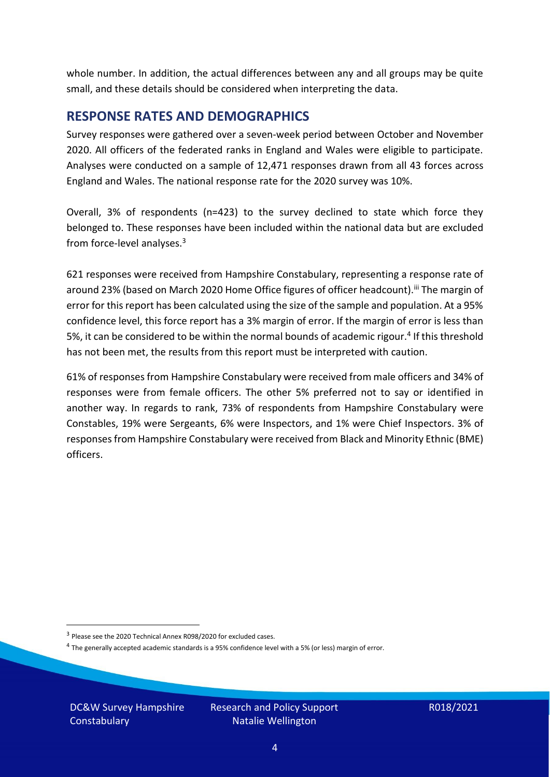whole number. In addition, the actual differences between any and all groups may be quite small, and these details should be considered when interpreting the data.

#### <span id="page-3-0"></span>**RESPONSE RATES AND DEMOGRAPHICS**

Survey responses were gathered over a seven-week period between October and November 2020. All officers of the federated ranks in England and Wales were eligible to participate. Analyses were conducted on a sample of 12,471 responses drawn from all 43 forces across England and Wales. The national response rate for the 2020 survey was 10%.

Overall, 3% of respondents (n=423) to the survey declined to state which force they belonged to. These responses have been included within the national data but are excluded from force-level analyses.<sup>3</sup>

621 responses were received from Hampshire Constabulary, representing a response rate of around 23% (based on March 2020 Home Office figures of officer headcount).<sup>iii</sup> The margin of error for this report has been calculated using the size of the sample and population. At a 95% confidence level, this force report has a 3% margin of error. If the margin of error is less than 5%, it can be considered to be within the normal bounds of academic rigour.<sup>4</sup> If this threshold has not been met, the results from this report must be interpreted with caution.

61% of responses from Hampshire Constabulary were received from male officers and 34% of responses were from female officers. The other 5% preferred not to say or identified in another way. In regards to rank, 73% of respondents from Hampshire Constabulary were Constables, 19% were Sergeants, 6% were Inspectors, and 1% were Chief Inspectors. 3% of responses from Hampshire Constabulary were received from Black and Minority Ethnic (BME) officers.

DC&W Survey Hampshire **Constabulary** 

<sup>&</sup>lt;sup>3</sup> Please see the 2020 Technical Annex R098/2020 for excluded cases.

<sup>&</sup>lt;sup>4</sup> The generally accepted academic standards is a 95% confidence level with a 5% (or less) margin of error.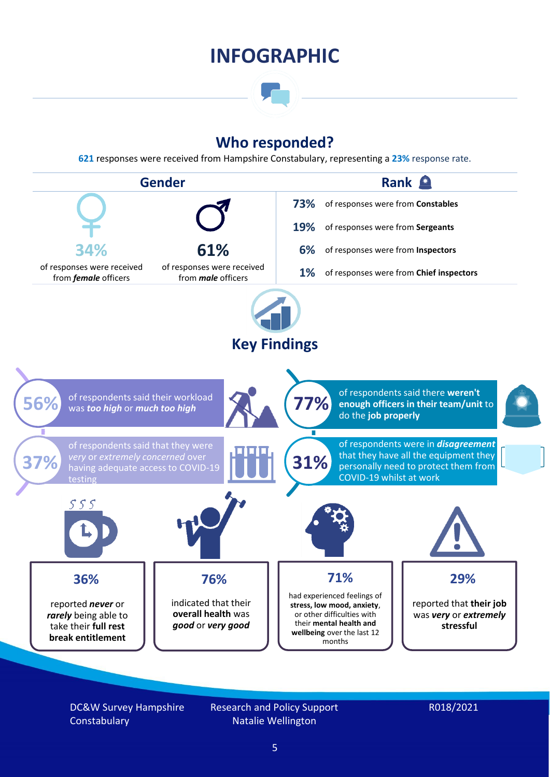### **INFOGRAPHIC**

### **Who responded?**

**621** responses were received from Hampshire Constabulary, representing a **23%** response rate.



DC&W Survey Hampshire **Constabulary** 

Research and Policy Support Natalie Wellington

#### R018/2021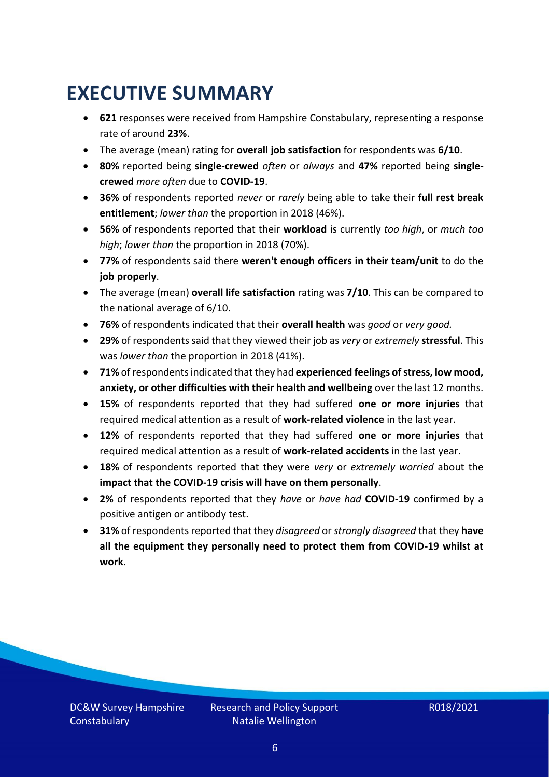### <span id="page-5-0"></span>**EXECUTIVE SUMMARY**

- **621** responses were received from Hampshire Constabulary, representing a response rate of around **23%**.
- The average (mean) rating for **overall job satisfaction** for respondents was **6/10**.
- **80%** reported being **single-crewed** *often* or *always* and **47%** reported being **singlecrewed** *more often* due to **COVID-19**.
- **36%** of respondents reported *never* or *rarely* being able to take their **full rest break entitlement**; *lower than* the proportion in 2018 (46%).
- **56%** of respondents reported that their **workload** is currently *too high*, or *much too high*; *lower than* the proportion in 2018 (70%).
- **77%** of respondents said there **weren't enough officers in their team/unit** to do the **job properly**.
- The average (mean) **overall life satisfaction** rating was **7/10**. This can be compared to the national average of 6/10.
- **76%** of respondents indicated that their **overall health** was *good* or *very good.*
- **29%** of respondents said that they viewed their job as *very* or *extremely* **stressful**. This was *lower than* the proportion in 2018 (41%).
- **71%** of respondents indicated that they had **experienced feelings of stress, low mood, anxiety, or other difficulties with their health and wellbeing** over the last 12 months.
- **15%** of respondents reported that they had suffered **one or more injuries** that required medical attention as a result of **work-related violence** in the last year.
- **12%** of respondents reported that they had suffered **one or more injuries** that required medical attention as a result of **work-related accidents** in the last year.
- **18%** of respondents reported that they were *very* or *extremely worried* about the **impact that the COVID-19 crisis will have on them personally**.
- **2%** of respondents reported that they *have* or *have had* **COVID-19** confirmed by a positive antigen or antibody test.
- **31%** of respondents reported that they *disagreed* or *strongly disagreed* that they **have all the equipment they personally need to protect them from COVID-19 whilst at work**.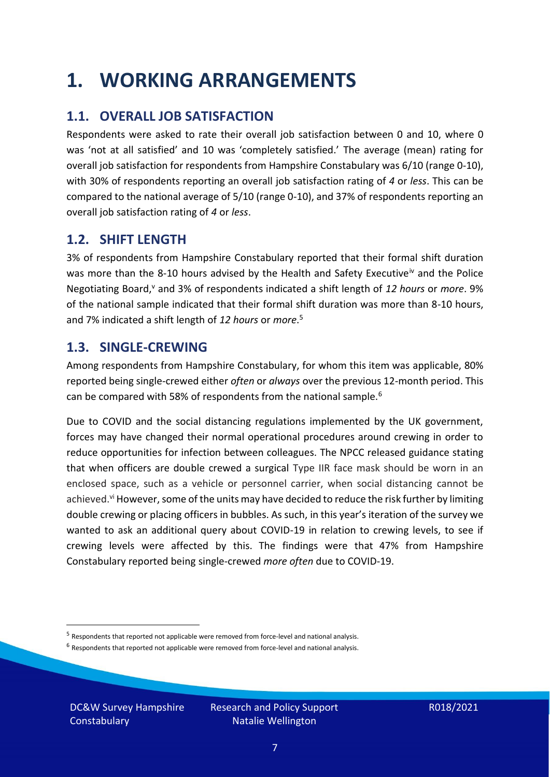### <span id="page-6-0"></span>**1. WORKING ARRANGEMENTS**

### **1.1. OVERALL JOB SATISFACTION**

Respondents were asked to rate their overall job satisfaction between 0 and 10, where 0 was 'not at all satisfied' and 10 was 'completely satisfied.' The average (mean) rating for overall job satisfaction for respondents from Hampshire Constabulary was 6/10 (range 0-10), with 30% of respondents reporting an overall job satisfaction rating of *4* or *less*. This can be compared to the national average of 5/10 (range 0-10), and 37% of respondents reporting an overall job satisfaction rating of *4* or *less*.

### **1.2. SHIFT LENGTH**

3% of respondents from Hampshire Constabulary reported that their formal shift duration was more than the 8-10 hours advised by the Health and Safety Executive<sup>iv</sup> and the Police Negotiating Board,<sup>v</sup> and 3% of respondents indicated a shift length of 12 hours or more. 9% of the national sample indicated that their formal shift duration was more than 8-10 hours, and 7% indicated a shift length of *12 hours* or *more*. 5

#### **1.3. SINGLE-CREWING**

Among respondents from Hampshire Constabulary, for whom this item was applicable, 80% reported being single-crewed either *often* or *always* over the previous 12-month period. This can be compared with 58% of respondents from the national sample.<sup>6</sup>

Due to COVID and the social distancing regulations implemented by the UK government, forces may have changed their normal operational procedures around crewing in order to reduce opportunities for infection between colleagues. The NPCC released guidance stating that when officers are double crewed a surgical Type IIR face mask should be worn in an enclosed space, such as a vehicle or personnel carrier, when social distancing cannot be achieved.<sup>vi</sup> However, some of the units may have decided to reduce the risk further by limiting double crewing or placing officers in bubbles. As such, in this year's iteration of the survey we wanted to ask an additional query about COVID-19 in relation to crewing levels, to see if crewing levels were affected by this. The findings were that 47% from Hampshire Constabulary reported being single-crewed *more often* due to COVID-19.

 $<sup>6</sup>$  Respondents that reported not applicable were removed from force-level and national analysis.</sup>

DC&W Survey Hampshire **Constabulary** 

<sup>&</sup>lt;sup>5</sup> Respondents that reported not applicable were removed from force-level and national analysis.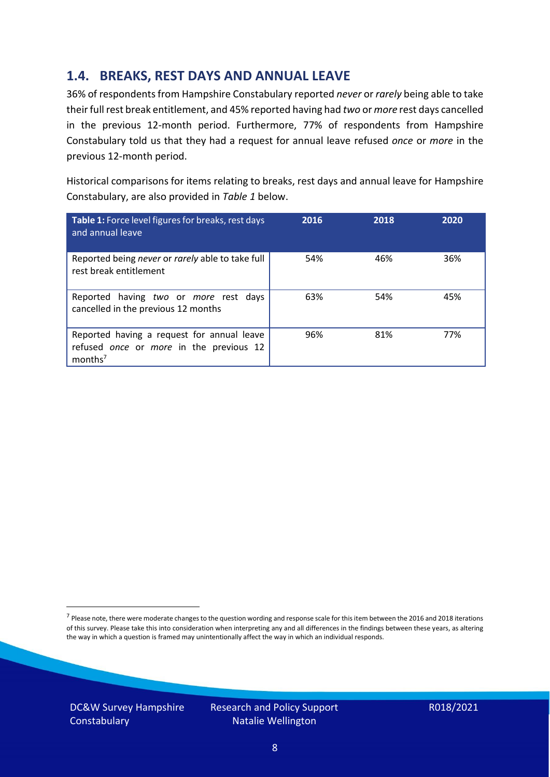### **1.4. BREAKS, REST DAYS AND ANNUAL LEAVE**

36% of respondents from Hampshire Constabulary reported *never* or *rarely* being able to take their full rest break entitlement, and 45% reported having had *two* or *more* rest days cancelled in the previous 12-month period. Furthermore, 77% of respondents from Hampshire Constabulary told us that they had a request for annual leave refused *once* or *more* in the previous 12-month period.

Historical comparisons for items relating to breaks, rest days and annual leave for Hampshire Constabulary, are also provided in *Table 1* below.

| Table 1: Force level figures for breaks, rest days<br>and annual leave                                       | 2016 | 2018 | 2020 |
|--------------------------------------------------------------------------------------------------------------|------|------|------|
| Reported being never or rarely able to take full<br>rest break entitlement                                   | 54%  | 46%  | 36%  |
| Reported having two or more rest days<br>cancelled in the previous 12 months                                 | 63%  | 54%  | 45%  |
| Reported having a request for annual leave<br>refused once or more in the previous 12<br>months <sup>7</sup> | 96%  | 81%  | 77%  |

DC&W Survey Hampshire **Constabulary** 



<sup>&</sup>lt;sup>7</sup> Please note, there were moderate changes to the question wording and response scale for this item between the 2016 and 2018 iterations of this survey. Please take this into consideration when interpreting any and all differences in the findings between these years, as altering the way in which a question is framed may unintentionally affect the way in which an individual responds.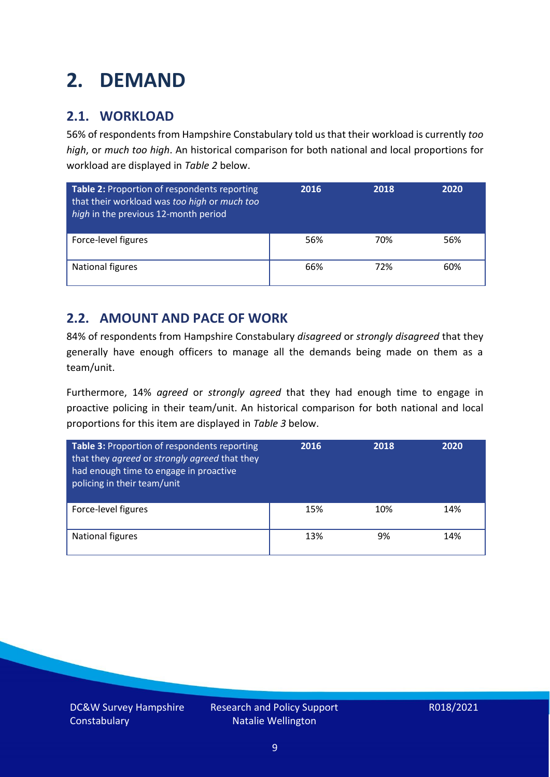### <span id="page-8-0"></span>**2. DEMAND**

### **2.1. WORKLOAD**

56% of respondents from Hampshire Constabulary told us that their workload is currently *too high*, or *much too high*. An historical comparison for both national and local proportions for workload are displayed in *Table 2* below.

| Table 2: Proportion of respondents reporting<br>that their workload was too high or much too<br>high in the previous 12-month period | 2016 | 2018 | 2020 |
|--------------------------------------------------------------------------------------------------------------------------------------|------|------|------|
| Force-level figures                                                                                                                  | 56%  | 70%  | 56%  |
| National figures                                                                                                                     | 66%  | 72%  | 60%  |

### **2.2. AMOUNT AND PACE OF WORK**

84% of respondents from Hampshire Constabulary *disagreed* or *strongly disagreed* that they generally have enough officers to manage all the demands being made on them as a team/unit.

Furthermore, 14% *agreed* or *strongly agreed* that they had enough time to engage in proactive policing in their team/unit. An historical comparison for both national and local proportions for this item are displayed in *Table 3* below.

| <b>Table 3: Proportion of respondents reporting</b><br>that they agreed or strongly agreed that they<br>had enough time to engage in proactive<br>policing in their team/unit | 2016 | 2018 | 2020 |
|-------------------------------------------------------------------------------------------------------------------------------------------------------------------------------|------|------|------|
| Force-level figures                                                                                                                                                           | 15%  | 10%  | 14%  |
| <b>National figures</b>                                                                                                                                                       | 13%  | 9%   | 14%  |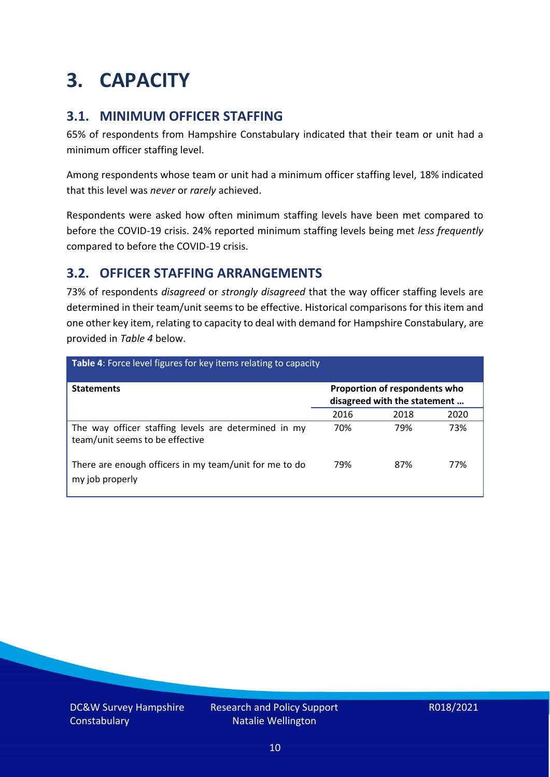### <span id="page-9-0"></span>**3. CAPACITY**

### **3.1. MINIMUM OFFICER STAFFING**

65% of respondents from Hampshire Constabulary indicated that their team or unit had a minimum officer staffing level.

Among respondents whose team or unit had a minimum officer staffing level, 18% indicated that this level was *never* or *rarely* achieved.

Respondents were asked how often minimum staffing levels have been met compared to before the COVID-19 crisis. 24% reported minimum staffing levels being met *less frequently* compared to before the COVID-19 crisis.

### **3.2. OFFICER STAFFING ARRANGEMENTS**

73% of respondents *disagreed* or *strongly disagreed* that the way officer staffing levels are determined in their team/unit seems to be effective. Historical comparisons for this item and one other key item, relating to capacity to deal with demand for Hampshire Constabulary, are provided in *Table 4* below.

| Table 4: Force level figures for key items relating to capacity                         |                                                               |      |      |  |
|-----------------------------------------------------------------------------------------|---------------------------------------------------------------|------|------|--|
| <b>Statements</b>                                                                       | Proportion of respondents who<br>disagreed with the statement |      |      |  |
|                                                                                         | 2016                                                          | 2018 | 2020 |  |
| The way officer staffing levels are determined in my<br>team/unit seems to be effective | 70%                                                           | 79%  | 73%  |  |
| There are enough officers in my team/unit for me to do<br>my job properly               | 79%                                                           | 87%  | 77%  |  |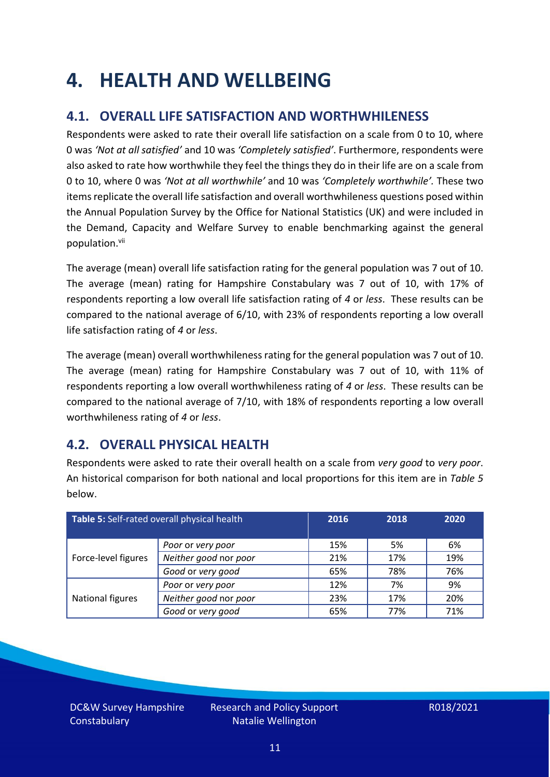### <span id="page-10-0"></span>**4. HEALTH AND WELLBEING**

### **4.1. OVERALL LIFE SATISFACTION AND WORTHWHILENESS**

Respondents were asked to rate their overall life satisfaction on a scale from 0 to 10, where 0 was *'Not at all satisfied'* and 10 was *'Completely satisfied'*. Furthermore, respondents were also asked to rate how worthwhile they feel the things they do in their life are on a scale from 0 to 10, where 0 was *'Not at all worthwhile'* and 10 was *'Completely worthwhile'.* These two items replicate the overall life satisfaction and overall worthwhileness questions posed within the Annual Population Survey by the Office for National Statistics (UK) and were included in the Demand, Capacity and Welfare Survey to enable benchmarking against the general population. vii

The average (mean) overall life satisfaction rating for the general population was 7 out of 10. The average (mean) rating for Hampshire Constabulary was 7 out of 10, with 17% of respondents reporting a low overall life satisfaction rating of *4* or *less*. These results can be compared to the national average of 6/10, with 23% of respondents reporting a low overall life satisfaction rating of *4* or *less*.

The average (mean) overall worthwhileness rating for the general population was 7 out of 10. The average (mean) rating for Hampshire Constabulary was 7 out of 10, with 11% of respondents reporting a low overall worthwhileness rating of *4* or *less*. These results can be compared to the national average of 7/10, with 18% of respondents reporting a low overall worthwhileness rating of *4* or *less*.

### **4.2. OVERALL PHYSICAL HEALTH**

Respondents were asked to rate their overall health on a scale from *very good* to *very poor*. An historical comparison for both national and local proportions for this item are in *Table 5* below.

| Table 5: Self-rated overall physical health |                       | 2016 | 2018 | 2020 |
|---------------------------------------------|-----------------------|------|------|------|
|                                             | Poor or very poor     | 15%  | 5%   | 6%   |
| Force-level figures                         | Neither good nor poor | 21%  | 17%  | 19%  |
|                                             | Good or very good     | 65%  | 78%  | 76%  |
|                                             | Poor or very poor     | 12%  | 7%   | 9%   |
| National figures                            | Neither good nor poor | 23%  | 17%  | 20%  |
|                                             | Good or very good     | 65%  | 77%  | 71%  |

DC&W Survey Hampshire **Constabulary**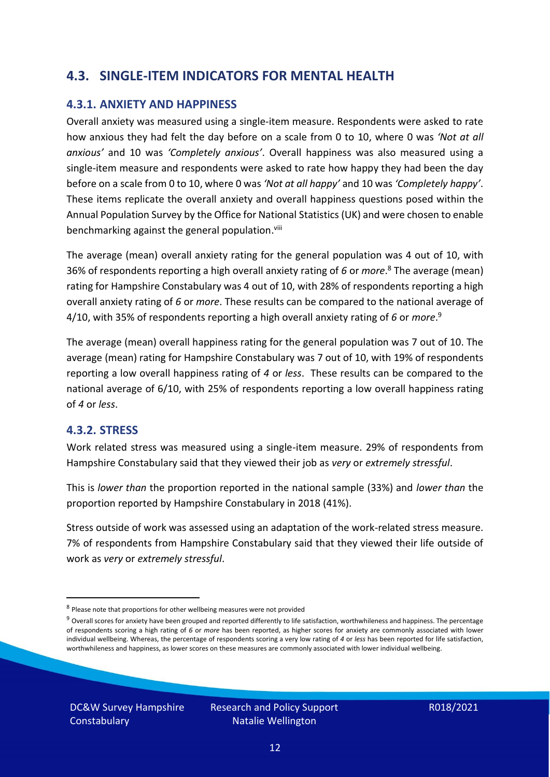### **4.3. SINGLE-ITEM INDICATORS FOR MENTAL HEALTH**

#### **4.3.1. ANXIETY AND HAPPINESS**

Overall anxiety was measured using a single-item measure. Respondents were asked to rate how anxious they had felt the day before on a scale from 0 to 10, where 0 was *'Not at all anxious'* and 10 was *'Completely anxious'*. Overall happiness was also measured using a single-item measure and respondents were asked to rate how happy they had been the day before on a scale from 0 to 10, where 0 was *'Not at all happy'* and 10 was *'Completely happy'*. These items replicate the overall anxiety and overall happiness questions posed within the Annual Population Survey by the Office for National Statistics (UK) and were chosen to enable benchmarking against the general population.<sup>viii</sup>

The average (mean) overall anxiety rating for the general population was 4 out of 10, with 36% of respondents reporting a high overall anxiety rating of *6* or *more*. <sup>8</sup> The average (mean) rating for Hampshire Constabulary was 4 out of 10, with 28% of respondents reporting a high overall anxiety rating of *6* or *more*. These results can be compared to the national average of 4/10, with 35% of respondents reporting a high overall anxiety rating of *6* or *more*. 9

The average (mean) overall happiness rating for the general population was 7 out of 10. The average (mean) rating for Hampshire Constabulary was 7 out of 10, with 19% of respondents reporting a low overall happiness rating of *4* or *less*. These results can be compared to the national average of 6/10, with 25% of respondents reporting a low overall happiness rating of *4* or *less*.

#### **4.3.2. STRESS**

Work related stress was measured using a single-item measure. 29% of respondents from Hampshire Constabulary said that they viewed their job as *very* or *extremely stressful*.

This is *lower than* the proportion reported in the national sample (33%) and *lower than* the proportion reported by Hampshire Constabulary in 2018 (41%).

Stress outside of work was assessed using an adaptation of the work-related stress measure. 7% of respondents from Hampshire Constabulary said that they viewed their life outside of work as *very* or *extremely stressful*.

DC&W Survey Hampshire **Constabulary** 

<sup>&</sup>lt;sup>8</sup> Please note that proportions for other wellbeing measures were not provided

 $9$  Overall scores for anxiety have been grouped and reported differently to life satisfaction, worthwhileness and happiness. The percentage of respondents scoring a high rating of *6* or *more* has been reported, as higher scores for anxiety are commonly associated with lower individual wellbeing. Whereas, the percentage of respondents scoring a very low rating of *4* or *less* has been reported for life satisfaction, worthwhileness and happiness, as lower scores on these measures are commonly associated with lower individual wellbeing.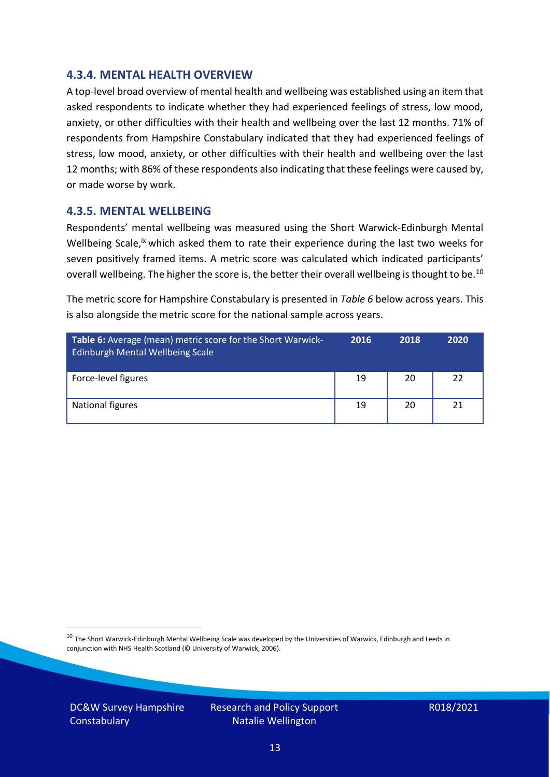#### **4.3.4. MENTAL HEALTH OVERVIEW**

A top-level broad overview of mental health and wellbeing was established using an item that asked respondents to indicate whether they had experienced feelings of stress, low mood, anxiety, or other difficulties with their health and wellbeing over the last 12 months. 71% of respondents from Hampshire Constabulary indicated that they had experienced feelings of stress, low mood, anxiety, or other difficulties with their health and wellbeing over the last 12 months; with 86% of these respondents also indicating that these feelings were caused by, or made worse by work.

#### **4.3.5. MENTAL WELLBEING**

Respondents' mental wellbeing was measured using the Short Warwick-Edinburgh Mental Wellbeing Scale,<sup>ix</sup> which asked them to rate their experience during the last two weeks for seven positively framed items. A metric score was calculated which indicated participants' overall wellbeing. The higher the score is, the better their overall wellbeing is thought to be.<sup>10</sup>

The metric score for Hampshire Constabulary is presented in *Table 6* below across years. This is also alongside the metric score for the national sample across years.

| <b>Table 6:</b> Average (mean) metric score for the Short Warwick-<br>Edinburgh Mental Wellbeing Scale | 2016 | 2018 | 2020 |
|--------------------------------------------------------------------------------------------------------|------|------|------|
| Force-level figures                                                                                    | 19   | 20   | 22   |
| National figures                                                                                       | 19   | 20   | 21   |

 $10$  The Short Warwick-Edinburgh Mental Wellbeing Scale was developed by the Universities of Warwick, Edinburgh and Leeds in conjunction with NHS Health Scotland (© University of Warwick, 2006).

DC&W Survey Hampshire **Constabulary**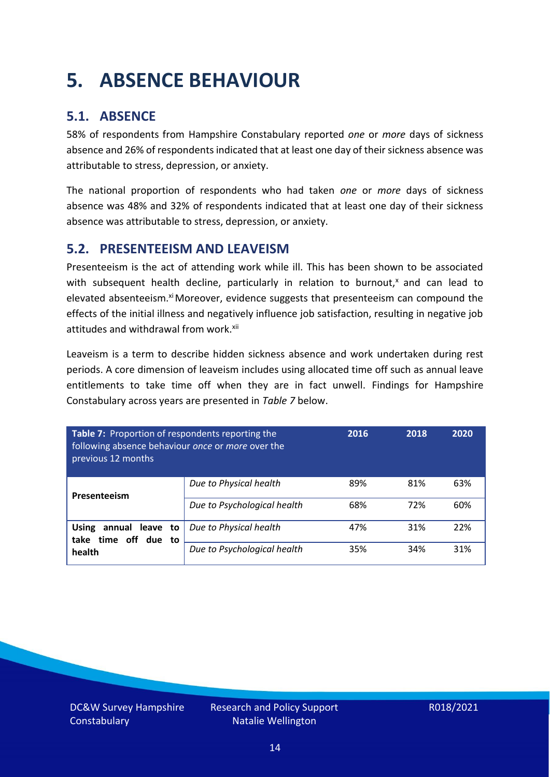### <span id="page-13-0"></span>**5. ABSENCE BEHAVIOUR**

### **5.1. ABSENCE**

58% of respondents from Hampshire Constabulary reported *one* or *more* days of sickness absence and 26% of respondents indicated that at least one day of their sickness absence was attributable to stress, depression, or anxiety.

The national proportion of respondents who had taken *one* or *more* days of sickness absence was 48% and 32% of respondents indicated that at least one day of their sickness absence was attributable to stress, depression, or anxiety.

#### **5.2. PRESENTEEISM AND LEAVEISM**

Presenteeism is the act of attending work while ill. This has been shown to be associated with subsequent health decline, particularly in relation to burnout, $x$  and can lead to elevated absenteeism.<sup>xi</sup> Moreover, evidence suggests that presenteeism can compound the effects of the initial illness and negatively influence job satisfaction, resulting in negative job attitudes and withdrawal from work.<sup>xii</sup>

Leaveism is a term to describe hidden sickness absence and work undertaken during rest periods. A core dimension of leaveism includes using allocated time off such as annual leave entitlements to take time off when they are in fact unwell. Findings for Hampshire Constabulary across years are presented in *Table 7* below.

| Table 7: Proportion of respondents reporting the<br>following absence behaviour once or more over the<br>previous 12 months |                             |     | 2018 | 2020 |
|-----------------------------------------------------------------------------------------------------------------------------|-----------------------------|-----|------|------|
| Presenteeism                                                                                                                | Due to Physical health      | 89% | 81%  | 63%  |
|                                                                                                                             | Due to Psychological health | 68% | 72%  | 60%  |
| <b>Using</b><br>annual leave to<br>time off due to<br>take                                                                  | Due to Physical health      | 47% | 31%  | 22%  |
| health                                                                                                                      | Due to Psychological health | 35% | 34%  | 31%  |

DC&W Survey Hampshire **Constabulary**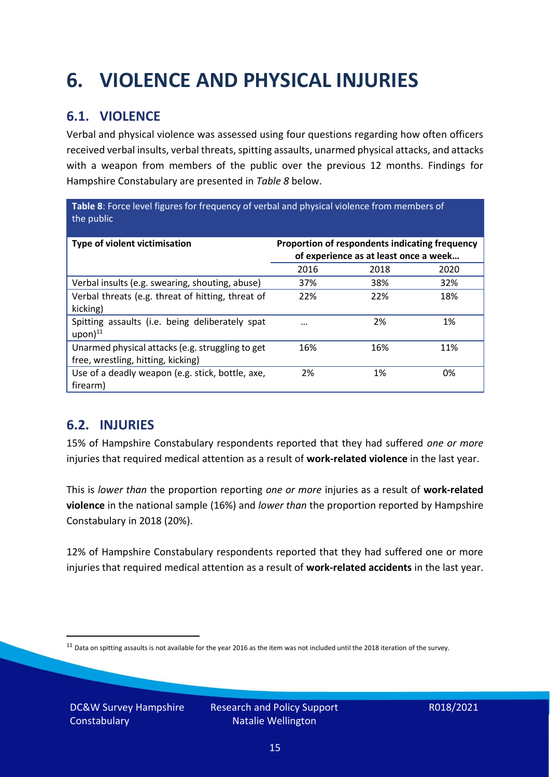## <span id="page-14-0"></span>**6. VIOLENCE AND PHYSICAL INJURIES**

### **6.1. VIOLENCE**

Verbal and physical violence was assessed using four questions regarding how often officers received verbal insults, verbal threats, spitting assaults, unarmed physical attacks, and attacks with a weapon from members of the public over the previous 12 months. Findings for Hampshire Constabulary are presented in *Table 8* below.

**Table 8**: Force level figures for frequency of verbal and physical violence from members of the public

| Type of violent victimisation                                                          | Proportion of respondents indicating frequency<br>of experience as at least once a week |      |      |
|----------------------------------------------------------------------------------------|-----------------------------------------------------------------------------------------|------|------|
|                                                                                        | 2016                                                                                    | 2018 | 2020 |
| Verbal insults (e.g. swearing, shouting, abuse)                                        | 37%                                                                                     | 38%  | 32%  |
| Verbal threats (e.g. threat of hitting, threat of<br>kicking)                          | 22%                                                                                     | 22%  | 18%  |
| Spitting assaults (i.e. being deliberately spat<br>$upon)$ <sup>11</sup>               | $\cdots$                                                                                | 2%   | 1%   |
| Unarmed physical attacks (e.g. struggling to get<br>free, wrestling, hitting, kicking) | 16%                                                                                     | 16%  | 11%  |
| Use of a deadly weapon (e.g. stick, bottle, axe,<br>firearm)                           | 2%                                                                                      | 1%   | 0%   |

### **6.2. INJURIES**

15% of Hampshire Constabulary respondents reported that they had suffered *one or more* injuries that required medical attention as a result of **work-related violence** in the last year.

This is *lower than* the proportion reporting *one or more* injuries as a result of **work-related violence** in the national sample (16%) and *lower than* the proportion reported by Hampshire Constabulary in 2018 (20%).

12% of Hampshire Constabulary respondents reported that they had suffered one or more injuries that required medical attention as a result of **work-related accidents** in the last year.

 $11$  Data on spitting assaults is not available for the year 2016 as the item was not included until the 2018 iteration of the survey.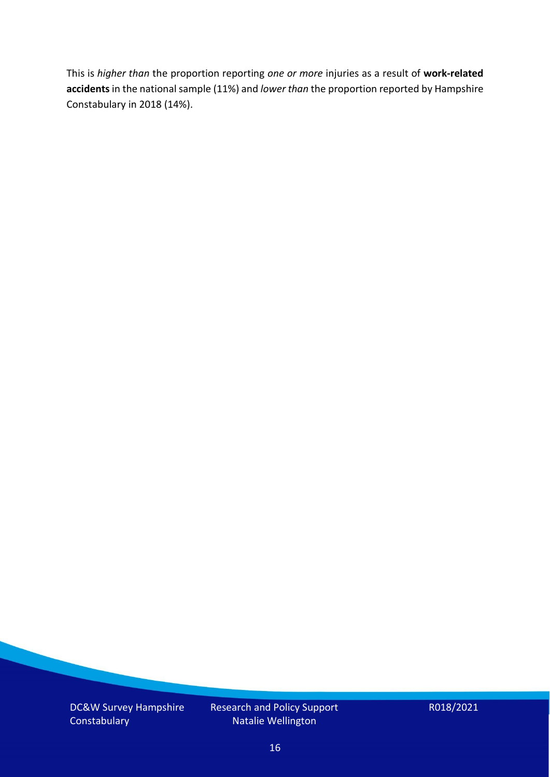This is *higher than* the proportion reporting *one or more* injuries as a result of **work-related accidents** in the national sample (11%) and *lower than* the proportion reported by Hampshire Constabulary in 2018 (14%).

DC&W Survey Hampshire **Constabulary** 

Research and Policy Support Natalie Wellington

R018/2021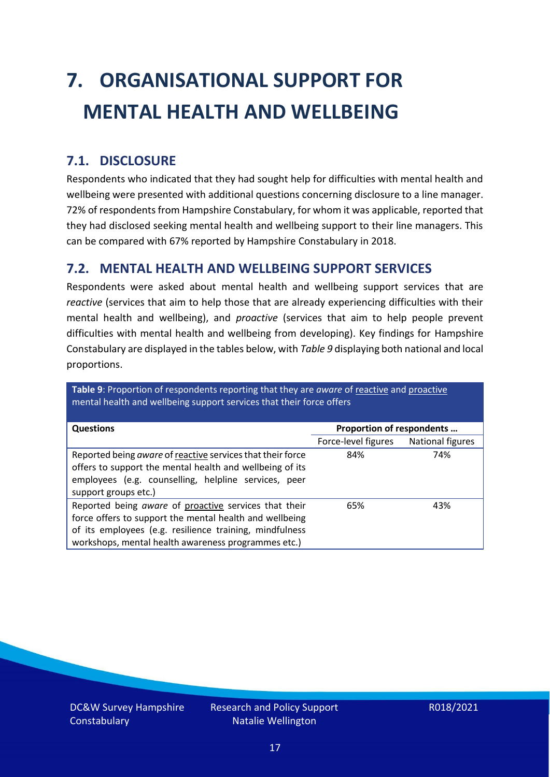# <span id="page-16-0"></span>**7. ORGANISATIONAL SUPPORT FOR MENTAL HEALTH AND WELLBEING**

### **7.1. DISCLOSURE**

Respondents who indicated that they had sought help for difficulties with mental health and wellbeing were presented with additional questions concerning disclosure to a line manager. 72% of respondents from Hampshire Constabulary, for whom it was applicable, reported that they had disclosed seeking mental health and wellbeing support to their line managers. This can be compared with 67% reported by Hampshire Constabulary in 2018.

#### **7.2. MENTAL HEALTH AND WELLBEING SUPPORT SERVICES**

Respondents were asked about mental health and wellbeing support services that are *reactive* (services that aim to help those that are already experiencing difficulties with their mental health and wellbeing), and *proactive* (services that aim to help people prevent difficulties with mental health and wellbeing from developing). Key findings for Hampshire Constabulary are displayed in the tables below, with *Table 9* displaying both national and local proportions.

**Table 9**: Proportion of respondents reporting that they are *aware* of reactive and proactive mental health and wellbeing support services that their force offers

| <b>Questions</b>                                                                                                                                                                                                                   | Proportion of respondents |                  |
|------------------------------------------------------------------------------------------------------------------------------------------------------------------------------------------------------------------------------------|---------------------------|------------------|
|                                                                                                                                                                                                                                    | Force-level figures       | National figures |
| Reported being aware of reactive services that their force<br>offers to support the mental health and wellbeing of its<br>employees (e.g. counselling, helpline services, peer<br>support groups etc.)                             | 84%                       | 74%              |
| Reported being aware of proactive services that their<br>force offers to support the mental health and wellbeing<br>of its employees (e.g. resilience training, mindfulness<br>workshops, mental health awareness programmes etc.) | 65%                       | 43%              |

DC&W Survey Hampshire **Constabulary**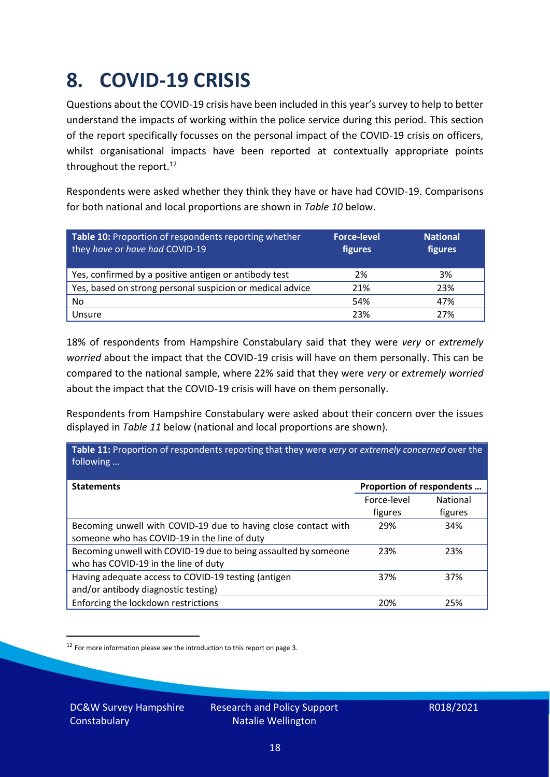### <span id="page-17-0"></span>**8. COVID-19 CRISIS**

Questions about the COVID-19 crisis have been included in this year's survey to help to better understand the impacts of working within the police service during this period. This section of the report specifically focusses on the personal impact of the COVID-19 crisis on officers, whilst organisational impacts have been reported at contextually appropriate points throughout the report.<sup>12</sup>

Respondents were asked whether they think they have or have had COVID-19. Comparisons for both national and local proportions are shown in *Table 10* below.

| Table 10: Proportion of respondents reporting whether<br>they have or have had COVID-19 | <b>Force-level</b><br>figures | <b>National</b><br>figures |
|-----------------------------------------------------------------------------------------|-------------------------------|----------------------------|
| Yes, confirmed by a positive antigen or antibody test                                   | 2%                            | 3%                         |
| Yes, based on strong personal suspicion or medical advice                               | 21%                           | 23%                        |
| No                                                                                      | 54%                           | 47%                        |
| Unsure                                                                                  | 23%                           | 27%                        |

18% of respondents from Hampshire Constabulary said that they were *very* or *extremely worried* about the impact that the COVID-19 crisis will have on them personally. This can be compared to the national sample, where 22% said that they were *very* or *extremely worried* about the impact that the COVID-19 crisis will have on them personally.

Respondents from Hampshire Constabulary were asked about their concern over the issues displayed in *Table 11* below (national and local proportions are shown).

| Table 11: Proportion of respondents reporting that they were very or extremely concerned over the<br>following |                           |                            |
|----------------------------------------------------------------------------------------------------------------|---------------------------|----------------------------|
| <b>Statements</b>                                                                                              | Proportion of respondents |                            |
|                                                                                                                | Force-level<br>figures    | <b>National</b><br>figures |
| Becoming unwell with COVID-19 due to having close contact with<br>someone who has COVID-19 in the line of duty | 29%                       | 34%                        |
| Becoming unwell with COVID-19 due to being assaulted by someone<br>who has COVID-19 in the line of duty        | 23%                       | 23%                        |
| Having adequate access to COVID-19 testing (antigen<br>and/or antibody diagnostic testing)                     | 37%                       | 37%                        |
| Enforcing the lockdown restrictions                                                                            | 20%                       | 25%                        |

<sup>12</sup> For more information please see the introduction to this report on page 3.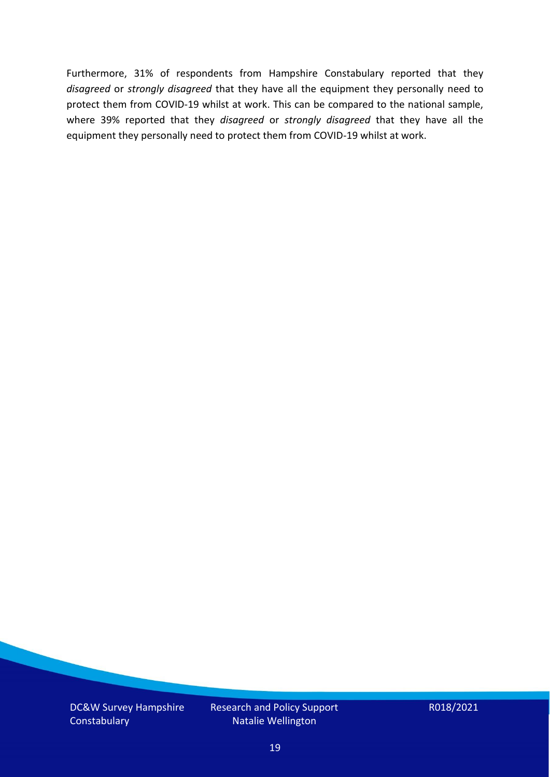Furthermore, 31% of respondents from Hampshire Constabulary reported that they *disagreed* or *strongly disagreed* that they have all the equipment they personally need to protect them from COVID-19 whilst at work. This can be compared to the national sample, where 39% reported that they *disagreed* or *strongly disagreed* that they have all the equipment they personally need to protect them from COVID-19 whilst at work.

DC&W Survey Hampshire **Constabulary** 

Research and Policy Support Natalie Wellington

R018/2021